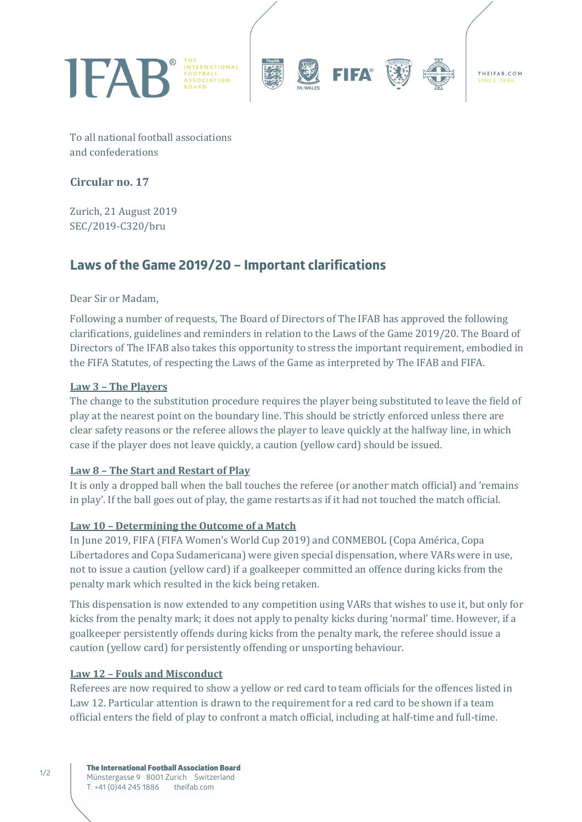

To all national football associations and confederations

## **Circular no. 17**

Zurich, 21 August 2019 SEC/2019-C320/bru

# **Laws of the Game 2019/20 – Important clarifications**

Dear Sir or Madam.

Following a number of requests, The Board of Directors of The IFAB has approved the following clarifications, guidelines and reminders in relation to the Laws of the Game 2019/20. The Board of Directors of The IFAB also takes this opportunity to stress the important requirement, embodied in the FIFA Statutes, of respecting the Laws of the Game as interpreted by The IFAB and FIFA.

#### Law 3 - The Players

The change to the substitution procedure requires the player being substituted to leave the field of play at the nearest point on the boundary line. This should be strictly enforced unless there are clear safety reasons or the referee allows the player to leave quickly at the halfway line, in which case if the player does not leave quickly, a caution (yellow card) should be issued.

#### Law 8 - The Start and Restart of Play

It is only a dropped ball when the ball touches the referee (or another match official) and 'remains in play'. If the ball goes out of play, the game restarts as if it had not touched the match official.

#### Law 10 - Determining the Outcome of a Match

In June 2019, FIFA (FIFA Women's World Cup 2019) and CONMEBOL (Copa América, Copa Libertadores and Copa Sudamericana) were given special dispensation, where VARs were in use, not to issue a caution (yellow card) if a goalkeeper committed an offence during kicks from the penalty mark which resulted in the kick being retaken.

This dispensation is now extended to any competition using VARs that wishes to use it, but only for kicks from the penalty mark; it does not apply to penalty kicks during 'normal' time. However, if a goalkeeper persistently offends during kicks from the penalty mark, the referee should issue a caution (yellow card) for persistently offending or unsporting behaviour.

#### Law 12 - Fouls and Misconduct

Referees are now required to show a yellow or red card to team officials for the offences listed in Law 12. Particular attention is drawn to the requirement for a red card to be shown if a team official enters the field of play to confront a match official, including at half-time and full-time.